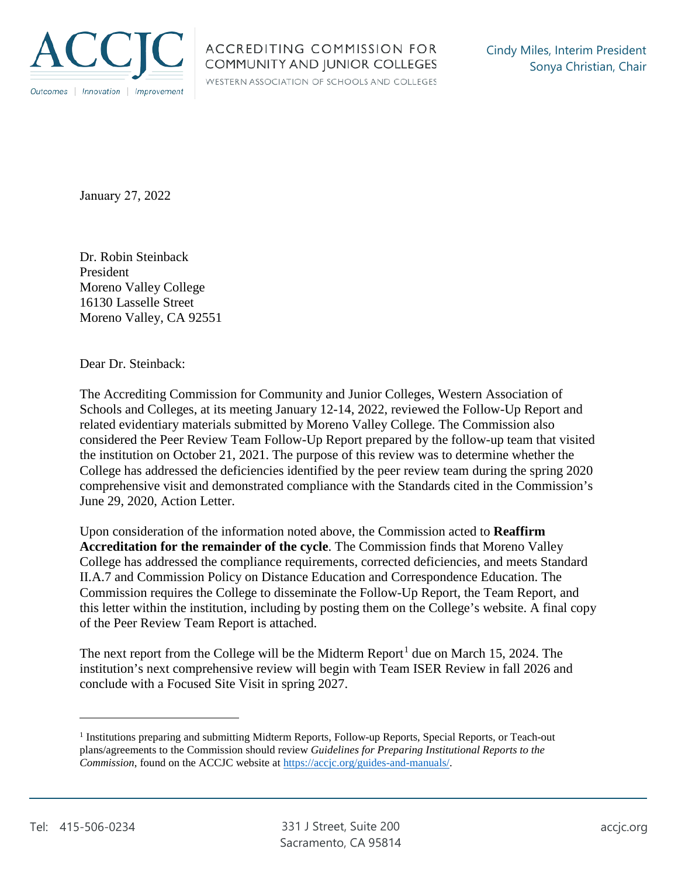

WESTERN ASSOCIATION OF SCHOOLS AND COLLEGES

January 27, 2022

Dr. Robin Steinback President Moreno Valley College 16130 Lasselle Street Moreno Valley, CA 92551

Dear Dr. Steinback:

The Accrediting Commission for Community and Junior Colleges, Western Association of Schools and Colleges, at its meeting January 12-14, 2022, reviewed the Follow-Up Report and related evidentiary materials submitted by Moreno Valley College. The Commission also considered the Peer Review Team Follow-Up Report prepared by the follow-up team that visited the institution on October 21, 2021. The purpose of this review was to determine whether the College has addressed the deficiencies identified by the peer review team during the spring 2020 comprehensive visit and demonstrated compliance with the Standards cited in the Commission's June 29, 2020, Action Letter.

Upon consideration of the information noted above, the Commission acted to **Reaffirm Accreditation for the remainder of the cycle**. The Commission finds that Moreno Valley College has addressed the compliance requirements, corrected deficiencies, and meets Standard II.A.7 and Commission Policy on Distance Education and Correspondence Education. The Commission requires the College to disseminate the Follow-Up Report, the Team Report, and this letter within the institution, including by posting them on the College's website. A final copy of the Peer Review Team Report is attached.

The next report from the College will be the Midterm Report<sup>1</sup> due on March 15, 2024. The institution's next comprehensive review will begin with Team ISER Review in fall 2026 and conclude with a Focused Site Visit in spring 2027.

<sup>1</sup> Institutions preparing and submitting Midterm Reports, Follow-up Reports, Special Reports, or Teach-out plans/agreements to the Commission should review *Guidelines for Preparing Institutional Reports to the Commission*, found on the ACCJC website at https://accjc.org/guides-and-manuals/.